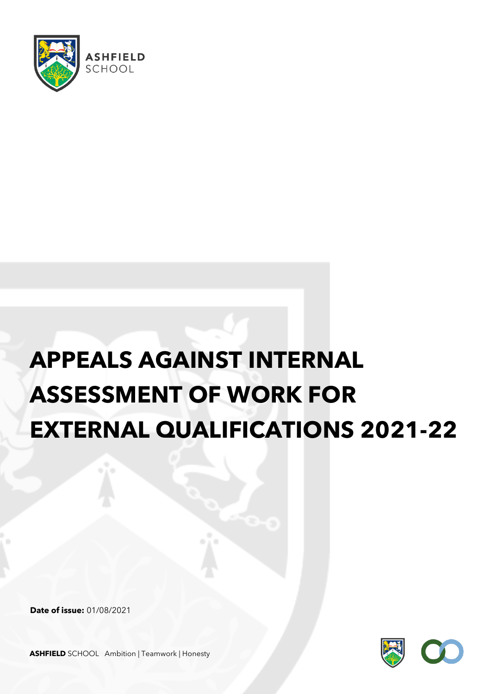

## **APPEALS AGAINST INTERNAL ASSESSMENT OF WORK FOR EXTERNAL QUALIFICATIONS 2021-22**

**Date of issue:** 01/08/2021



**ASHFIELD** SCHOOL Ambition | Teamwork | Honesty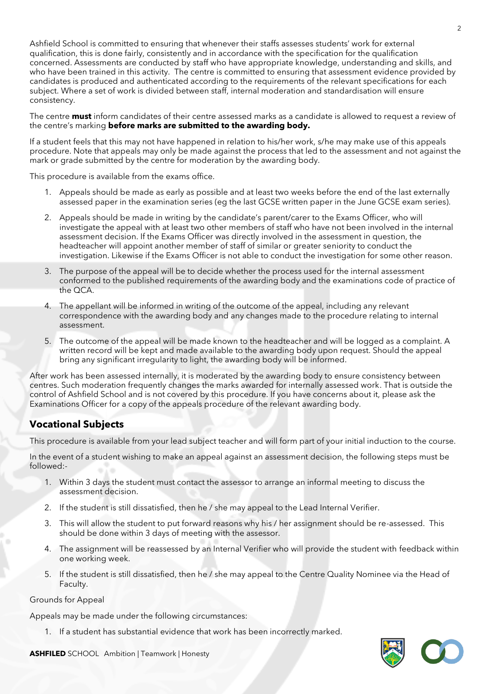Ashfield School is committed to ensuring that whenever their staffs assesses students' work for external qualification, this is done fairly, consistently and in accordance with the specification for the qualification concerned. Assessments are conducted by staff who have appropriate knowledge, understanding and skills, and who have been trained in this activity. The centre is committed to ensuring that assessment evidence provided by candidates is produced and authenticated according to the requirements of the relevant specifications for each subject. Where a set of work is divided between staff, internal moderation and standardisation will ensure consistency.

The centre **must** inform candidates of their centre assessed marks as a candidate is allowed to request a review of the centre's marking **before marks are submitted to the awarding body.**

If a student feels that this may not have happened in relation to his/her work, s/he may make use of this appeals procedure. Note that appeals may only be made against the process that led to the assessment and not against the mark or grade submitted by the centre for moderation by the awarding body.

This procedure is available from the exams office.

- 1. Appeals should be made as early as possible and at least two weeks before the end of the last externally assessed paper in the examination series (eg the last GCSE written paper in the June GCSE exam series).
- 2. Appeals should be made in writing by the candidate's parent/carer to the Exams Officer, who will investigate the appeal with at least two other members of staff who have not been involved in the internal assessment decision. If the Exams Officer was directly involved in the assessment in question, the headteacher will appoint another member of staff of similar or greater seniority to conduct the investigation. Likewise if the Exams Officer is not able to conduct the investigation for some other reason.
- 3. The purpose of the appeal will be to decide whether the process used for the internal assessment conformed to the published requirements of the awarding body and the examinations code of practice of the QCA.
- 4. The appellant will be informed in writing of the outcome of the appeal, including any relevant correspondence with the awarding body and any changes made to the procedure relating to internal assessment.
- 5. The outcome of the appeal will be made known to the headteacher and will be logged as a complaint. A written record will be kept and made available to the awarding body upon request. Should the appeal bring any significant irregularity to light, the awarding body will be informed.

After work has been assessed internally, it is moderated by the awarding body to ensure consistency between centres. Such moderation frequently changes the marks awarded for internally assessed work. That is outside the control of Ashfield School and is not covered by this procedure. If you have concerns about it, please ask the Examinations Officer for a copy of the appeals procedure of the relevant awarding body.

## **Vocational Subjects**

This procedure is available from your lead subject teacher and will form part of your initial induction to the course.

In the event of a student wishing to make an appeal against an assessment decision, the following steps must be followed:-

- 1. Within 3 days the student must contact the assessor to arrange an informal meeting to discuss the assessment decision.
- 2. If the student is still dissatisfied, then he / she may appeal to the Lead Internal Verifier.
- 3. This will allow the student to put forward reasons why his / her assignment should be re-assessed. This should be done within 3 days of meeting with the assessor.
- 4. The assignment will be reassessed by an Internal Verifier who will provide the student with feedback within one working week.
- 5. If the student is still dissatisfied, then he / she may appeal to the Centre Quality Nominee via the Head of Faculty.

## Grounds for Appeal

Appeals may be made under the following circumstances:

1. If a student has substantial evidence that work has been incorrectly marked.